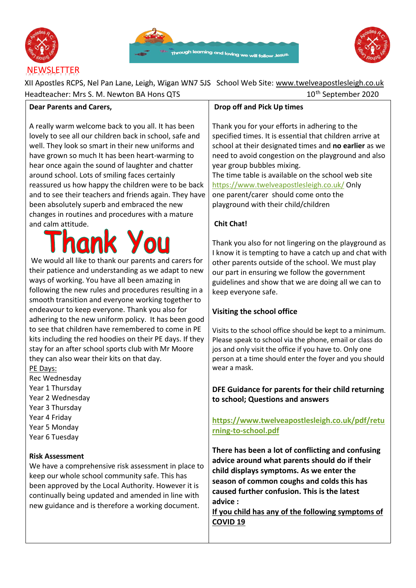

**Dear Parents and Carers,** 





XII Apostles RCPS, Nel Pan Lane, Leigh, Wigan WN7 5JS School Web Site: [www.twelveapostlesleigh.co.uk](http://www.twelveapostlesleigh.co.uk/)  Headteacher: Mrs S. M. Newton BA Hons QTS 10<sup>th</sup> September 2020

| A really warm welcome back to you all. It has been      |
|---------------------------------------------------------|
| lovely to see all our children back in school, safe and |
| well. They look so smart in their new uniforms and      |
| have grown so much It has been heart-warming to         |
| hear once again the sound of laughter and chatter       |
| around school. Lots of smiling faces certainly          |
| reassured us how happy the children were to be back     |
| and to see their teachers and friends again. They have  |
| been absolutely superb and embraced the new             |
| changes in routines and procedures with a mature        |
| and calm attitude.                                      |

We would all like to thank our parents and carers for their patience and understanding as we adapt to new ways of working. You have all been amazing in following the new rules and procedures resulting in a smooth transition and everyone working together to endeavour to keep everyone. Thank you also for adhering to the new uniform policy. It has been good to see that children have remembered to come in PE kits including the red hoodies on their PE days. If they stay for an after school sports club with Mr Moore they can also wear their kits on that day.

PE Days: Rec Wednesday Year 1 Thursday Year 2 Wednesday Year 3 Thursday Year 4 Friday Year 5 Monday Year 6 Tuesday

### **Risk Assessment**

We have a comprehensive risk assessment in place to keep our whole school community safe. This has been approved by the Local Authority. However it is continually being updated and amended in line with new guidance and is therefore a working document.

# **Drop off and Pick Up times**

Thank you for your efforts in adhering to the specified times. It is essential that children arrive at school at their designated times and **no earlier** as we need to avoid congestion on the playground and also year group bubbles mixing.

The time table is available on the school web site <https://www.twelveapostlesleigh.co.uk/> [O](https://www.twelveapostlesleigh.co.uk/)nly one parent/carer should come onto the playground with their child/children

# **Chit Chat!**

Thank you also for not lingering on the playground as I know it is tempting to have a catch up and chat with other parents outside of the school. We must play our part in ensuring we follow the government guidelines and show that we are doing all we can to keep everyone safe.

# **Visiting the school office**

Visits to the school office should be kept to a minimum. Please speak to school via the phone, email or class do jos and only visit the office if you have to. Only one person at a time should enter the foyer and you should wear a mask.

**DFE Guidance for parents for their child returning to school; Questions and answers** 

**[https://www.twelveapostlesleigh.co.uk/pdf/retu](https://www.twelveapostlesleigh.co.uk/pdf/returning-to-school.pdf)  [rning-to-school.pdf](https://www.twelveapostlesleigh.co.uk/pdf/returning-to-school.pdf)**

**There has been a lot of conflicting and confusing advice around what parents should do if their child displays symptoms. As we enter the season of common coughs and colds this has caused further confusion. This is the latest advice :** 

**If you child has any of the following symptoms of COVID 19**